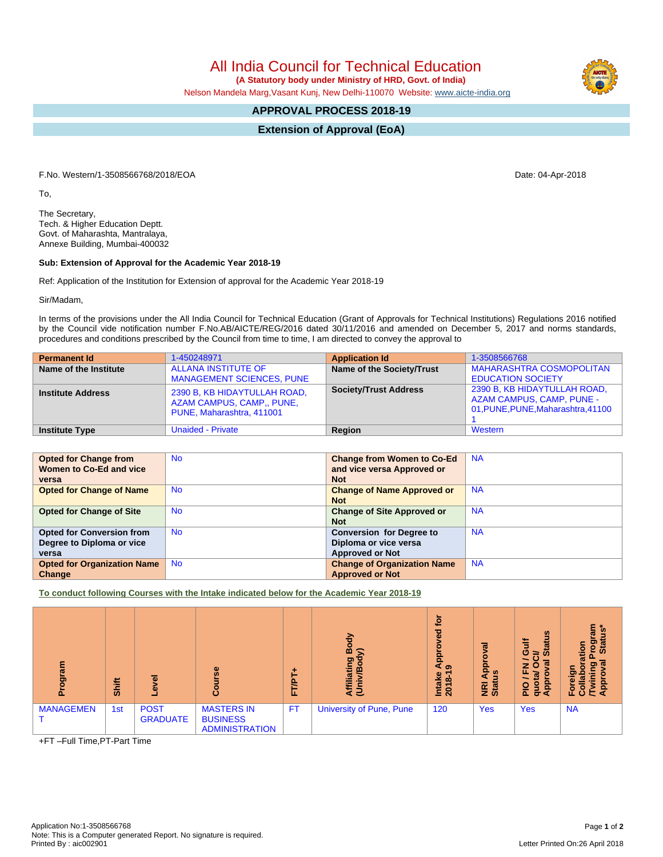All India Council for Technical Education

 **(A Statutory body under Ministry of HRD, Govt. of India)**

Nelson Mandela Marg,Vasant Kunj, New Delhi-110070 Website: [www.aicte-india.org](http://www.aicte-india.org)

## **APPROVAL PROCESS 2018-19**

**Extension of Approval (EoA)**

F.No. Western/1-3508566768/2018/EOA Date: 04-Apr-2018

To,

The Secretary, Tech. & Higher Education Deptt. Govt. of Maharashta, Mantralaya, Annexe Building, Mumbai-400032

## **Sub: Extension of Approval for the Academic Year 2018-19**

Ref: Application of the Institution for Extension of approval for the Academic Year 2018-19

Sir/Madam,

In terms of the provisions under the All India Council for Technical Education (Grant of Approvals for Technical Institutions) Regulations 2016 notified by the Council vide notification number F.No.AB/AICTE/REG/2016 dated 30/11/2016 and amended on December 5, 2017 and norms standards, procedures and conditions prescribed by the Council from time to time, I am directed to convey the approval to

| <b>Permanent Id</b>      | 1-450248971                                                                            | <b>Application Id</b>        | 1-3508566768                                                                                           |
|--------------------------|----------------------------------------------------------------------------------------|------------------------------|--------------------------------------------------------------------------------------------------------|
| Name of the Institute    | <b>ALLANA INSTITUTE OF</b><br><b>MANAGEMENT SCIENCES, PUNE</b>                         | Name of the Society/Trust    | <b>MAHARASHTRA COSMOPOLITAN</b><br><b>EDUCATION SOCIETY</b>                                            |
| <b>Institute Address</b> | 2390 B, KB HIDAYTULLAH ROAD,<br>AZAM CAMPUS, CAMP., PUNE,<br>PUNE, Maharashtra, 411001 | <b>Society/Trust Address</b> | 2390 B, KB HIDAYTULLAH ROAD,<br><b>AZAM CAMPUS, CAMP, PUNE -</b><br>01, PUNE, PUNE, Maharashtra, 41100 |
| <b>Institute Type</b>    | <b>Unaided - Private</b>                                                               | Region                       | Western                                                                                                |

| <b>Opted for Change from</b>       | <b>No</b> | <b>Change from Women to Co-Ed</b>  | <b>NA</b> |
|------------------------------------|-----------|------------------------------------|-----------|
| Women to Co-Ed and vice            |           | and vice versa Approved or         |           |
| versa                              |           | <b>Not</b>                         |           |
| <b>Opted for Change of Name</b>    | <b>No</b> | <b>Change of Name Approved or</b>  | <b>NA</b> |
|                                    |           | <b>Not</b>                         |           |
| <b>Opted for Change of Site</b>    | <b>No</b> | <b>Change of Site Approved or</b>  | <b>NA</b> |
|                                    |           | <b>Not</b>                         |           |
| <b>Opted for Conversion from</b>   | <b>No</b> | <b>Conversion for Degree to</b>    | <b>NA</b> |
| Degree to Diploma or vice          |           | Diploma or vice versa              |           |
| versa                              |           | <b>Approved or Not</b>             |           |
| <b>Opted for Organization Name</b> | <b>No</b> | <b>Change of Organization Name</b> | <b>NA</b> |
| Change                             |           | <b>Approved or Not</b>             |           |

**To conduct following Courses with the Intake indicated below for the Academic Year 2018-19**

| ram<br>ā<br>Δ.   | Shift | $\overline{\mathbf{a}}$<br>Φ   | $\omega$<br>O                                                 | ÷<br><b>FT/PT</b> | ㅎ<br>ō<br>⋒<br>ς<br>ත<br>œ<br>liatii<br><b>Afii</b> | <u>io</u><br>್ಠಾ<br>Appl<br>െ<br><b>Intake</b><br>$2018 -$ | ಸ<br>o<br>윤<br>3<br>⋖<br><b>E</b> at | ம<br>≣<br>$\bar{a}$<br>ပ<br><b>in</b><br>≃<br>$\sigma$<br>z<br>О<br>ш.<br>ă<br>읔<br>O<br>õ<br>σ∢ | ale<br>ற<br>Star<br>tion<br>۰<br>$\sigma$<br>ත<br><b>App</b><br>운<br>ο<br>ပ |
|------------------|-------|--------------------------------|---------------------------------------------------------------|-------------------|-----------------------------------------------------|------------------------------------------------------------|--------------------------------------|--------------------------------------------------------------------------------------------------|-----------------------------------------------------------------------------|
| <b>MANAGEMEN</b> | 1st   | <b>POST</b><br><b>GRADUATE</b> | <b>MASTERS IN</b><br><b>BUSINESS</b><br><b>ADMINISTRATION</b> | <b>FT</b>         | University of Pune, Pune                            | 120                                                        | <b>Yes</b>                           | Yes                                                                                              | <b>NA</b>                                                                   |

+FT –Full Time,PT-Part Time